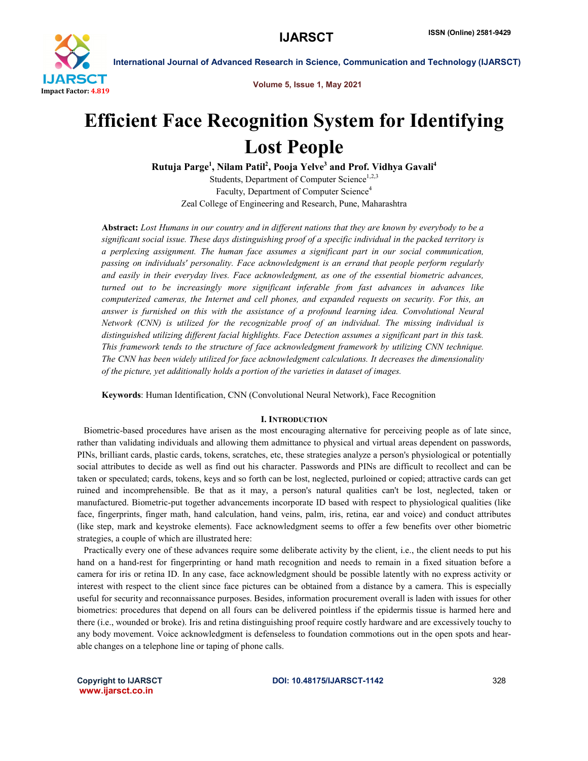

International Journal of Advanced Research in Science, Communication and Technology (IJARSCT)

Volume 5, Issue 1, May 2021

# Efficient Face Recognition System for Identifying Lost People

Rutuja Parge<sup>1</sup>, Nilam Patil<sup>2</sup>, Pooja Yelve<sup>3</sup> and Prof. Vidhya Gavali<sup>4</sup>

Students, Department of Computer Science $1,2,3$ Faculty, Department of Computer Science<sup>4</sup> Zeal College of Engineering and Research, Pune, Maharashtra

Abstract: *Lost Humans in our country and in different nations that they are known by everybody to be a significant social issue. These days distinguishing proof of a specific individual in the packed territory is a perplexing assignment. The human face assumes a significant part in our social communication, passing on individuals' personality. Face acknowledgment is an errand that people perform regularly and easily in their everyday lives. Face acknowledgment, as one of the essential biometric advances, turned out to be increasingly more significant inferable from fast advances in advances like computerized cameras, the Internet and cell phones, and expanded requests on security. For this, an*  answer is furnished on this with the assistance of a profound learning idea. Convolutional Neural *Network (CNN) is utilized for the recognizable proof of an individual. The missing individual is distinguished utilizing different facial highlights. Face Detection assumes a significant part in this task. This framework tends to the structure of face acknowledgment framework by utilizing CNN technique. The CNN has been widely utilized for face acknowledgment calculations. It decreases the dimensionality of the picture, yet additionally holds a portion of the varieties in dataset of images.*

Keywords: Human Identification, CNN (Convolutional Neural Network), Face Recognition

#### I. INTRODUCTION

 Biometric-based procedures have arisen as the most encouraging alternative for perceiving people as of late since, rather than validating individuals and allowing them admittance to physical and virtual areas dependent on passwords, PINs, brilliant cards, plastic cards, tokens, scratches, etc, these strategies analyze a person's physiological or potentially social attributes to decide as well as find out his character. Passwords and PINs are difficult to recollect and can be taken or speculated; cards, tokens, keys and so forth can be lost, neglected, purloined or copied; attractive cards can get ruined and incomprehensible. Be that as it may, a person's natural qualities can't be lost, neglected, taken or manufactured. Biometric-put together advancements incorporate ID based with respect to physiological qualities (like face, fingerprints, finger math, hand calculation, hand veins, palm, iris, retina, ear and voice) and conduct attributes (like step, mark and keystroke elements). Face acknowledgment seems to offer a few benefits over other biometric strategies, a couple of which are illustrated here:

 Practically every one of these advances require some deliberate activity by the client, i.e., the client needs to put his hand on a hand-rest for fingerprinting or hand math recognition and needs to remain in a fixed situation before a camera for iris or retina ID. In any case, face acknowledgment should be possible latently with no express activity or interest with respect to the client since face pictures can be obtained from a distance by a camera. This is especially useful for security and reconnaissance purposes. Besides, information procurement overall is laden with issues for other biometrics: procedures that depend on all fours can be delivered pointless if the epidermis tissue is harmed here and there (i.e., wounded or broke). Iris and retina distinguishing proof require costly hardware and are excessively touchy to any body movement. Voice acknowledgment is defenseless to foundation commotions out in the open spots and hearable changes on a telephone line or taping of phone calls.

www.ijarsct.co.in

# Copyright to IJARSCT **DOI: 10.48175/IJARSCT-1142** 328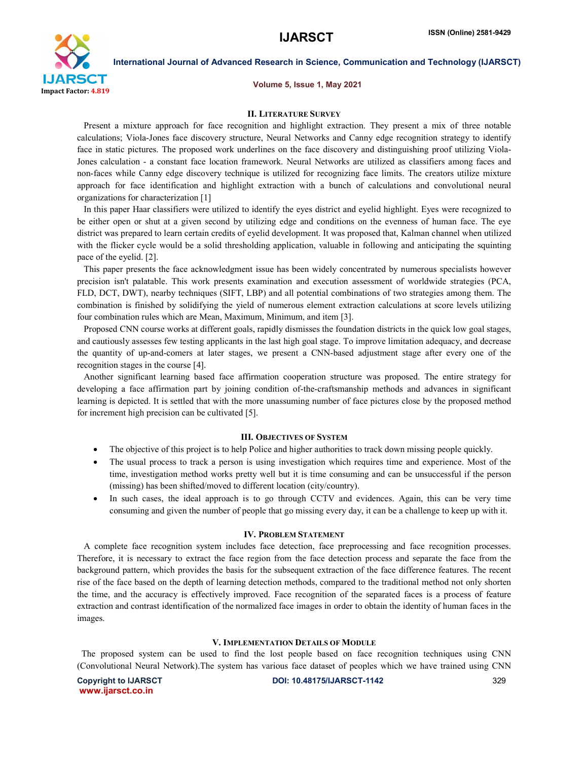

# International Journal of Advanced Research in Science, Communication and Technology (IJARSCT)

Volume 5, Issue 1, May 2021

#### II. LITERATURE SURVEY

 Present a mixture approach for face recognition and highlight extraction. They present a mix of three notable calculations; Viola-Jones face discovery structure, Neural Networks and Canny edge recognition strategy to identify face in static pictures. The proposed work underlines on the face discovery and distinguishing proof utilizing Viola-Jones calculation - a constant face location framework. Neural Networks are utilized as classifiers among faces and non-faces while Canny edge discovery technique is utilized for recognizing face limits. The creators utilize mixture approach for face identification and highlight extraction with a bunch of calculations and convolutional neural organizations for characterization [1]

 In this paper Haar classifiers were utilized to identify the eyes district and eyelid highlight. Eyes were recognized to be either open or shut at a given second by utilizing edge and conditions on the evenness of human face. The eye district was prepared to learn certain credits of eyelid development. It was proposed that, Kalman channel when utilized with the flicker cycle would be a solid thresholding application, valuable in following and anticipating the squinting pace of the eyelid. [2].

 This paper presents the face acknowledgment issue has been widely concentrated by numerous specialists however precision isn't palatable. This work presents examination and execution assessment of worldwide strategies (PCA, FLD, DCT, DWT), nearby techniques (SIFT, LBP) and all potential combinations of two strategies among them. The combination is finished by solidifying the yield of numerous element extraction calculations at score levels utilizing four combination rules which are Mean, Maximum, Minimum, and item [3].

 Proposed CNN course works at different goals, rapidly dismisses the foundation districts in the quick low goal stages, and cautiously assesses few testing applicants in the last high goal stage. To improve limitation adequacy, and decrease the quantity of up-and-comers at later stages, we present a CNN-based adjustment stage after every one of the recognition stages in the course [4].

 Another significant learning based face affirmation cooperation structure was proposed. The entire strategy for developing a face affirmation part by joining condition of-the-craftsmanship methods and advances in significant learning is depicted. It is settled that with the more unassuming number of face pictures close by the proposed method for increment high precision can be cultivated [5].

### III. OBJECTIVES OF SYSTEM

- The objective of this project is to help Police and higher authorities to track down missing people quickly.
- The usual process to track a person is using investigation which requires time and experience. Most of the time, investigation method works pretty well but it is time consuming and can be unsuccessful if the person (missing) has been shifted/moved to different location (city/country).
- In such cases, the ideal approach is to go through CCTV and evidences. Again, this can be very time consuming and given the number of people that go missing every day, it can be a challenge to keep up with it.

#### IV. PROBLEM STATEMENT

 A complete face recognition system includes face detection, face preprocessing and face recognition processes. Therefore, it is necessary to extract the face region from the face detection process and separate the face from the background pattern, which provides the basis for the subsequent extraction of the face difference features. The recent rise of the face based on the depth of learning detection methods, compared to the traditional method not only shorten the time, and the accuracy is effectively improved. Face recognition of the separated faces is a process of feature extraction and contrast identification of the normalized face images in order to obtain the identity of human faces in the images.

#### V. IMPLEMENTATION DETAILS OF MODULE

 The proposed system can be used to find the lost people based on face recognition techniques using CNN (Convolutional Neural Network).The system has various face dataset of peoples which we have trained using CNN

www.ijarsct.co.in

Copyright to IJARSCT DOI: 10.48175/IJARSCT-1142 329